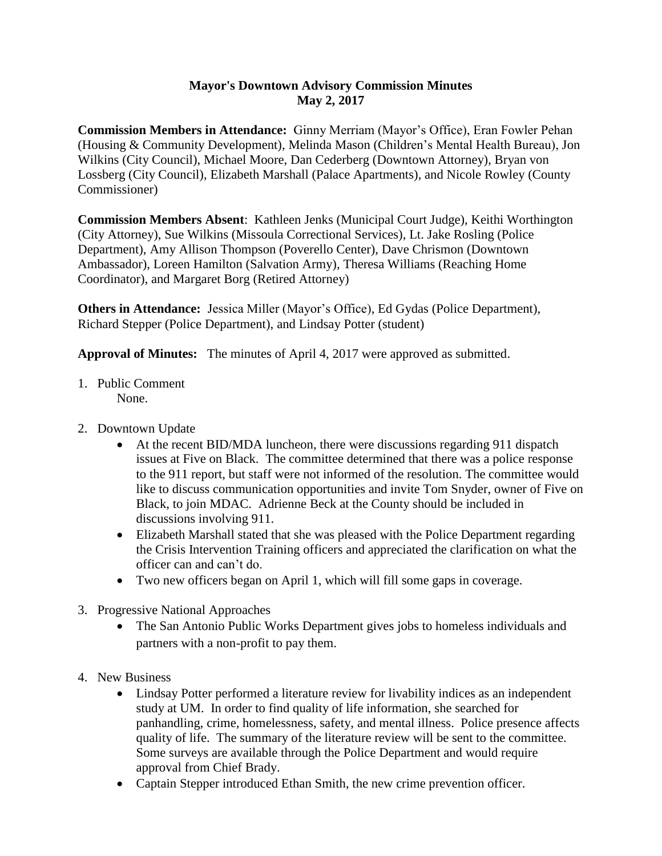## **Mayor's Downtown Advisory Commission Minutes May 2, 2017**

**Commission Members in Attendance:** Ginny Merriam (Mayor's Office), Eran Fowler Pehan (Housing & Community Development), Melinda Mason (Children's Mental Health Bureau), Jon Wilkins (City Council), Michael Moore, Dan Cederberg (Downtown Attorney), Bryan von Lossberg (City Council), Elizabeth Marshall (Palace Apartments), and Nicole Rowley (County Commissioner)

**Commission Members Absent**: Kathleen Jenks (Municipal Court Judge), Keithi Worthington (City Attorney), Sue Wilkins (Missoula Correctional Services), Lt. Jake Rosling (Police Department), Amy Allison Thompson (Poverello Center), Dave Chrismon (Downtown Ambassador), Loreen Hamilton (Salvation Army), Theresa Williams (Reaching Home Coordinator), and Margaret Borg (Retired Attorney)

**Others in Attendance:** Jessica Miller (Mayor's Office), Ed Gydas (Police Department), Richard Stepper (Police Department), and Lindsay Potter (student)

**Approval of Minutes:** The minutes of April 4, 2017 were approved as submitted.

- 1. Public Comment None.
- 2. Downtown Update
	- At the recent BID/MDA luncheon, there were discussions regarding 911 dispatch issues at Five on Black. The committee determined that there was a police response to the 911 report, but staff were not informed of the resolution. The committee would like to discuss communication opportunities and invite Tom Snyder, owner of Five on Black, to join MDAC. Adrienne Beck at the County should be included in discussions involving 911.
	- Elizabeth Marshall stated that she was pleased with the Police Department regarding the Crisis Intervention Training officers and appreciated the clarification on what the officer can and can't do.
	- Two new officers began on April 1, which will fill some gaps in coverage.
- 3. Progressive National Approaches
	- The San Antonio Public Works Department gives jobs to homeless individuals and partners with a non-profit to pay them.
- 4. New Business
	- Lindsay Potter performed a literature review for livability indices as an independent study at UM. In order to find quality of life information, she searched for panhandling, crime, homelessness, safety, and mental illness. Police presence affects quality of life. The summary of the literature review will be sent to the committee. Some surveys are available through the Police Department and would require approval from Chief Brady.
	- Captain Stepper introduced Ethan Smith, the new crime prevention officer.